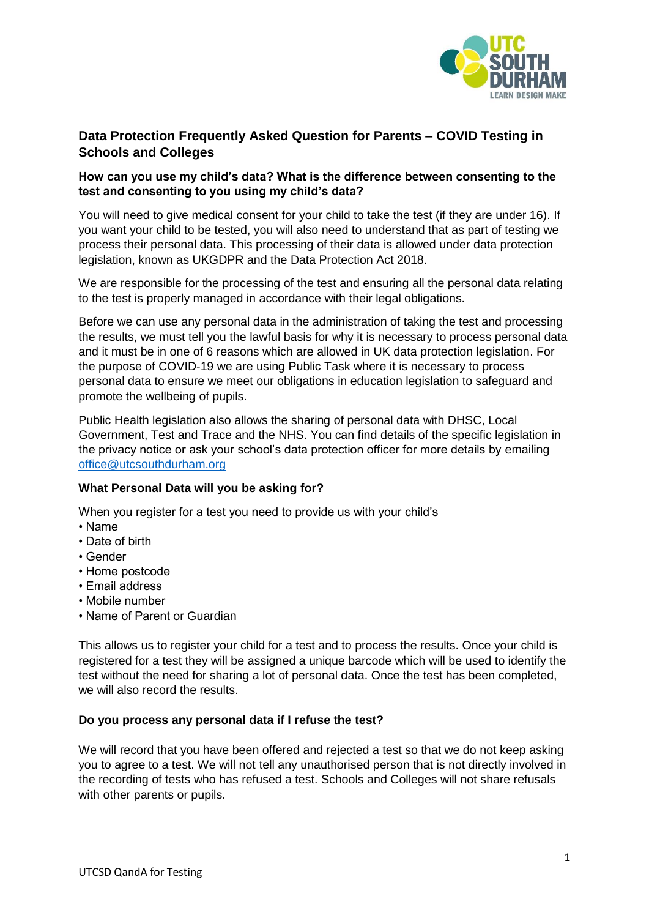

# **Data Protection Frequently Asked Question for Parents – COVID Testing in Schools and Colleges**

# **How can you use my child's data? What is the difference between consenting to the test and consenting to you using my child's data?**

You will need to give medical consent for your child to take the test (if they are under 16). If you want your child to be tested, you will also need to understand that as part of testing we process their personal data. This processing of their data is allowed under data protection legislation, known as UKGDPR and the Data Protection Act 2018.

We are responsible for the processing of the test and ensuring all the personal data relating to the test is properly managed in accordance with their legal obligations.

Before we can use any personal data in the administration of taking the test and processing the results, we must tell you the lawful basis for why it is necessary to process personal data and it must be in one of 6 reasons which are allowed in UK data protection legislation. For the purpose of COVID-19 we are using Public Task where it is necessary to process personal data to ensure we meet our obligations in education legislation to safeguard and promote the wellbeing of pupils.

Public Health legislation also allows the sharing of personal data with DHSC, Local Government, Test and Trace and the NHS. You can find details of the specific legislation in the privacy notice or ask your school's data protection officer for more details by emailing [office@utcsouthdurham.org](mailto:office@utcsouthdurham.org)

### **What Personal Data will you be asking for?**

When you register for a test you need to provide us with your child's

- Name
- Date of birth
- Gender
- Home postcode
- Email address
- Mobile number
- Name of Parent or Guardian

This allows us to register your child for a test and to process the results. Once your child is registered for a test they will be assigned a unique barcode which will be used to identify the test without the need for sharing a lot of personal data. Once the test has been completed, we will also record the results.

### **Do you process any personal data if I refuse the test?**

We will record that you have been offered and rejected a test so that we do not keep asking you to agree to a test. We will not tell any unauthorised person that is not directly involved in the recording of tests who has refused a test. Schools and Colleges will not share refusals with other parents or pupils.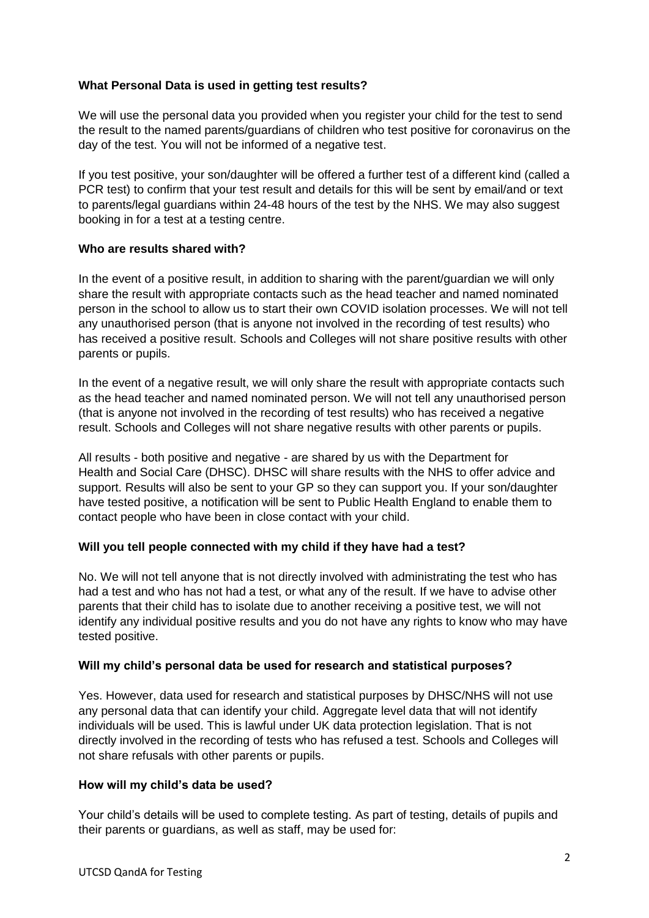# **What Personal Data is used in getting test results?**

We will use the personal data you provided when you register your child for the test to send the result to the named parents/guardians of children who test positive for coronavirus on the day of the test. You will not be informed of a negative test.

If you test positive, your son/daughter will be offered a further test of a different kind (called a PCR test) to confirm that your test result and details for this will be sent by email/and or text to parents/legal guardians within 24-48 hours of the test by the NHS. We may also suggest booking in for a test at a testing centre.

### **Who are results shared with?**

In the event of a positive result, in addition to sharing with the parent/guardian we will only share the result with appropriate contacts such as the head teacher and named nominated person in the school to allow us to start their own COVID isolation processes. We will not tell any unauthorised person (that is anyone not involved in the recording of test results) who has received a positive result. Schools and Colleges will not share positive results with other parents or pupils.

In the event of a negative result, we will only share the result with appropriate contacts such as the head teacher and named nominated person. We will not tell any unauthorised person (that is anyone not involved in the recording of test results) who has received a negative result. Schools and Colleges will not share negative results with other parents or pupils.

All results - both positive and negative - are shared by us with the Department for Health and Social Care (DHSC). DHSC will share results with the NHS to offer advice and support. Results will also be sent to your GP so they can support you. If your son/daughter have tested positive, a notification will be sent to Public Health England to enable them to contact people who have been in close contact with your child.

### **Will you tell people connected with my child if they have had a test?**

No. We will not tell anyone that is not directly involved with administrating the test who has had a test and who has not had a test, or what any of the result. If we have to advise other parents that their child has to isolate due to another receiving a positive test, we will not identify any individual positive results and you do not have any rights to know who may have tested positive.

### **Will my child's personal data be used for research and statistical purposes?**

Yes. However, data used for research and statistical purposes by DHSC/NHS will not use any personal data that can identify your child. Aggregate level data that will not identify individuals will be used. This is lawful under UK data protection legislation. That is not directly involved in the recording of tests who has refused a test. Schools and Colleges will not share refusals with other parents or pupils.

### **How will my child's data be used?**

Your child's details will be used to complete testing. As part of testing, details of pupils and their parents or guardians, as well as staff, may be used for: